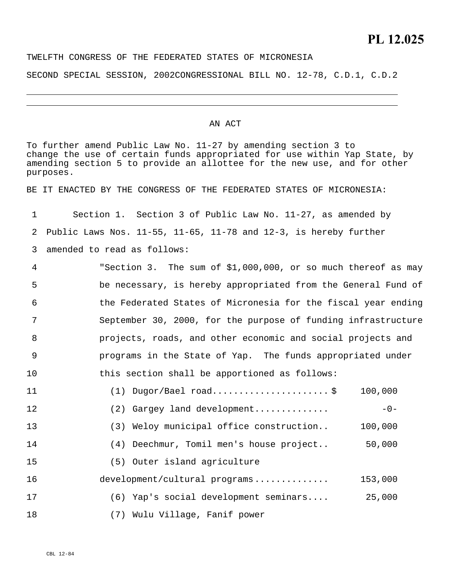## TWELFTH CONGRESS OF THE FEDERATED STATES OF MICRONESIA

SECOND SPECIAL SESSION, 2002CONGRESSIONAL BILL NO. 12-78, C.D.1, C.D.2

## AN ACT

To further amend Public Law No. 11-27 by amending section 3 to change the use of certain funds appropriated for use within Yap State, by amending section 5 to provide an allottee for the new use, and for other purposes.

BE IT ENACTED BY THE CONGRESS OF THE FEDERATED STATES OF MICRONESIA:

1 2 3 Section 1. Section 3 of Public Law No. 11-27, as amended by Public Laws Nos. 11-55, 11-65, 11-78 and 12-3, is hereby further amended to read as follows:

4 5 6 7 8 9 10 "Section 3. The sum of \$1,000,000, or so much thereof as may be necessary, is hereby appropriated from the General Fund of the Federated States of Micronesia for the fiscal year ending September 30, 2000, for the purpose of funding infrastructure projects, roads, and other economic and social projects and programs in the State of Yap. The funds appropriated under this section shall be apportioned as follows:

| 11 | $(1)$ Dugor/Bael road\$                 | 100,000 |
|----|-----------------------------------------|---------|
| 12 | (2) Gargey land development             | $-0-$   |
| 13 | (3) Weloy municipal office construction | 100,000 |
| 14 | (4) Deechmur, Tomil men's house project | 50,000  |
| 15 | (5) Outer island agriculture            |         |
| 16 | development/cultural programs           | 153,000 |
| 17 | (6) Yap's social development seminars   | 25,000  |
| 18 | (7) Wulu Village, Fanif power           |         |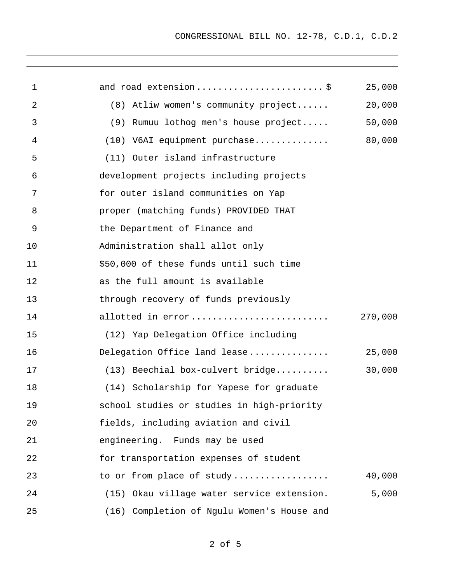| 1  | and road extension \$                      | 25,000  |
|----|--------------------------------------------|---------|
| 2  | (8) Atliw women's community project        | 20,000  |
| 3  | (9) Rumuu lothog men's house project       | 50,000  |
| 4  | (10) V6AI equipment purchase               | 80,000  |
| 5  | (11) Outer island infrastructure           |         |
| 6  | development projects including projects    |         |
| 7  | for outer island communities on Yap        |         |
| 8  | proper (matching funds) PROVIDED THAT      |         |
| 9  | the Department of Finance and              |         |
| 10 | Administration shall allot only            |         |
| 11 | \$50,000 of these funds until such time    |         |
| 12 | as the full amount is available            |         |
| 13 | through recovery of funds previously       |         |
| 14 | allotted in error                          | 270,000 |
| 15 | (12) Yap Delegation Office including       |         |
| 16 | Delegation Office land lease               | 25,000  |
| 17 | (13) Beechial box-culvert bridge           | 30,000  |
| 18 | (14) Scholarship for Yapese for graduate   |         |
| 19 | school studies or studies in high-priority |         |
| 20 | fields, including aviation and civil       |         |
| 21 | engineering. Funds may be used             |         |
| 22 | for transportation expenses of student     |         |
| 23 | to or from place of study                  | 40,000  |
| 24 | (15) Okau village water service extension. | 5,000   |
| 25 | (16) Completion of Ngulu Women's House and |         |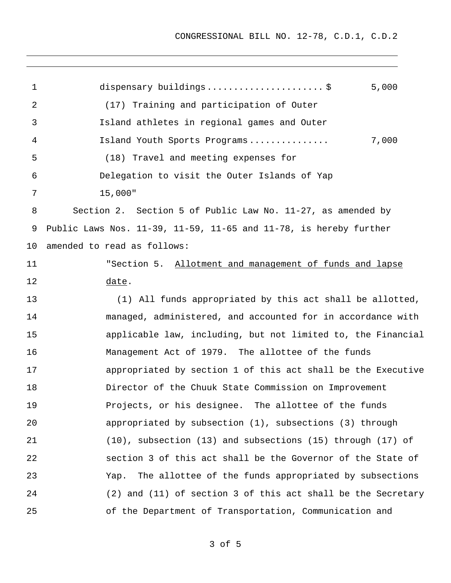| $\mathbf{1}$    | dispensary buildings\$<br>5,000                                              |
|-----------------|------------------------------------------------------------------------------|
| 2               | (17) Training and participation of Outer                                     |
| 3               | Island athletes in regional games and Outer                                  |
| 4               | 7,000<br>Island Youth Sports Programs                                        |
| 5               | (18) Travel and meeting expenses for                                         |
| 6               | Delegation to visit the Outer Islands of Yap                                 |
| 7               | 15,000"                                                                      |
| 8               | Section 2. Section 5 of Public Law No. 11-27, as amended by                  |
| 9               | Public Laws Nos. $11-39$ , $11-59$ , $11-65$ and $11-78$ , is hereby further |
| 10 <sub>1</sub> | amended to read as follows:                                                  |
| 11              | "Section 5. Allotment and management of funds and lapse                      |
| 12              | date.                                                                        |
| 13              | (1) All funds appropriated by this act shall be allotted,                    |
| 14              | managed, administered, and accounted for in accordance with                  |
| 15              | applicable law, including, but not limited to, the Financial                 |
| 16              | Management Act of 1979. The allottee of the funds                            |
| 17              | appropriated by section 1 of this act shall be the Executive                 |
| 18              | Director of the Chuuk State Commission on Improvement                        |
| 19              | Projects, or his designee. The allottee of the funds                         |
| 20              | appropriated by subsection (1), subsections (3) through                      |
| 21              | $(10)$ , subsection $(13)$ and subsections $(15)$ through $(17)$ of          |
| 22              | section 3 of this act shall be the Governor of the State of                  |
| 23              | The allottee of the funds appropriated by subsections<br>Yap.                |
| 24              | (2) and (11) of section 3 of this act shall be the Secretary                 |
| 25              | of the Department of Transportation, Communication and                       |

3 of 5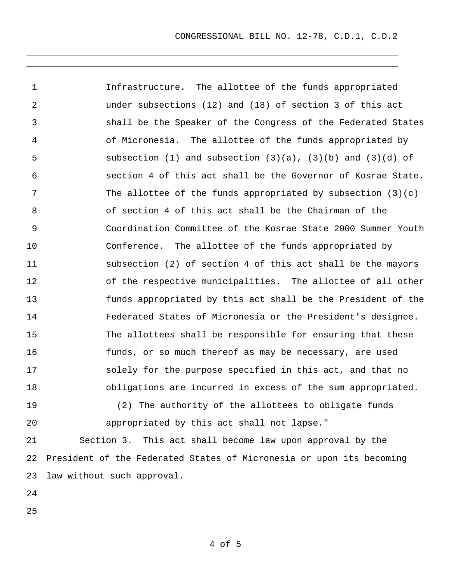1 2 3 4 5 6 7 8 9 10 11 12 13 14 15 16 17 18 19 Infrastructure. The allottee of the funds appropriated under subsections (12) and (18) of section 3 of this act shall be the Speaker of the Congress of the Federated States of Micronesia. The allottee of the funds appropriated by subsection (1) and subsection  $(3)(a)$ ,  $(3)(b)$  and  $(3)(d)$  of section 4 of this act shall be the Governor of Kosrae State. The allottee of the funds appropriated by subsection  $(3)(c)$ of section 4 of this act shall be the Chairman of the Coordination Committee of the Kosrae State 2000 Summer Youth Conference. The allottee of the funds appropriated by subsection (2) of section 4 of this act shall be the mayors of the respective municipalities. The allottee of all other funds appropriated by this act shall be the President of the Federated States of Micronesia or the President's designee. The allottees shall be responsible for ensuring that these funds, or so much thereof as may be necessary, are used solely for the purpose specified in this act, and that no obligations are incurred in excess of the sum appropriated. (2) The authority of the allottees to obligate funds

20

appropriated by this act shall not lapse."

21 22 23 Section 3. This act shall become law upon approval by the President of the Federated States of Micronesia or upon its becoming law without such approval.

24

25